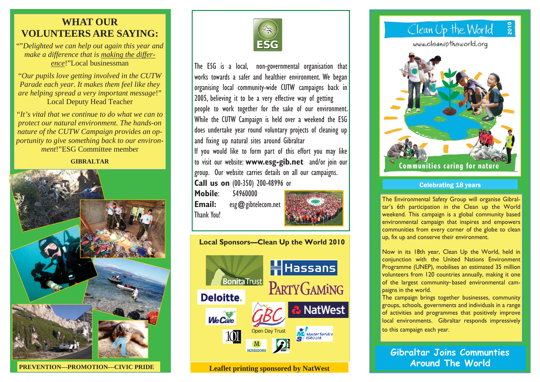## **WHAT OUR VOLUNTEERS ARE SAYING:**

""*Delighted we can help out again this year and make a difference that is making the difference*!"Local businessman

"*Our pupils love getting involved in the CUTW Parade each year. It makes them feel like they are helping spread a very important message*!" Local Deputy Head Teacher

"*It's vital that we continue to do what we can to protect our natural environment. The hands-on nature of the CUTW Campaign provides an opportunity to give something back to our environment*!"ESG Committee member

**GIBRALTAR** 



**PREVENTION—PROMOTION—CIVIC PRIDE** 



The ESG is a local, non-governmental organisation that works towards a safer and healthier environment. We began organising local community-wide CUTW campaigns back in 2005, believing it to be a very effective way of getting people to work together for the sake of our environment. While the CUTW Campaign is held over a weekend the ESG does undertake year round voluntary projects of cleaning up and fixing up natural sites around Gibraltar

If you would like to form part of this effort you may like to visit our website: **www.esg-gib.net** and/or join our group. Our website carries details on all our campaigns.

**Call us on** (00-350) 200-48996 or

**Mobile**: 54960000 **Email:** esg@gibtelecom.net Thank You!



**Local Sponsors—Clean Up the World 2010 Hassans BonitaTrust** 



**Leaflet printing sponsored by NatWest** 

# Clean Up the World

www.cleanuptheworld.org



### Celebrating 18 years

**Nowing Environmental Safety Will of the Environmental-** weekend. This campaign is a global community based  $\blacksquare$  environmental campaign that inspires and empowers  $\blacksquare$ communities from every corner of the globe to clean **up, fix up and conserve their environment.** The Environmental Safety Group will organise Gibraltar's 6th participation in the Clean up the World

communities from every corner of the globe to corner of the globe to corner of the globe to corner of the globe Now in its 18th year, Clean Up the World, held in volunteers from 120 countries annually, making it one  $\begin{bmatrix} 1 & 1 & 1 & 1 \\ 1 & 1 & 1 & 1 \\ 1 & 1 & 1 & 1 \end{bmatrix}$  $\left\| \right\|$  of the largest community-based environmental camconjunction with the United Nations Environment Programme (UNEP), mobilises an estimated 35 million paigns in the world.

**The campaign brings together businesses, community**  $\frac{1}{2}$  groups, schools, governments and individuals in a range  $\|$  of activities and programmes that positively improve local environments. Gibraltar responds impressively to this campaign each year. of activities and prove improve that positively improve  $\mathbb{R}^n$ 

to this campaign each year. **Gibraltar Joins Communties Around The World**

local environments. Gibraltar responds impressively